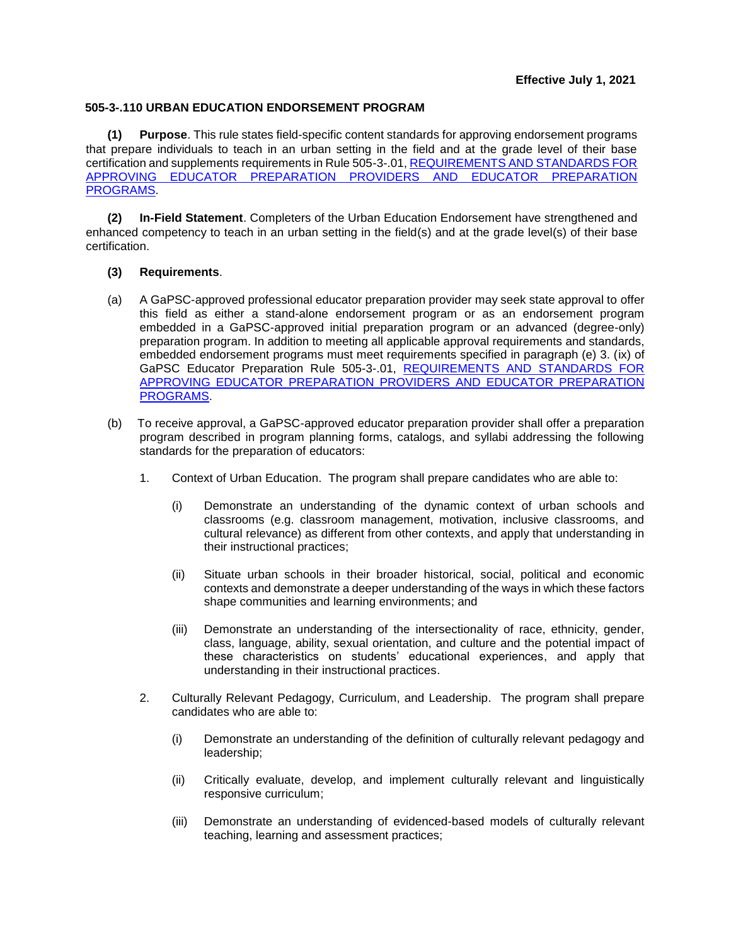## **505-3-.110 URBAN EDUCATION ENDORSEMENT PROGRAM**

**(1) Purpose**. This rule states field-specific content standards for approving endorsement programs that prepare individuals to teach in an urban setting in the field and at the grade level of their base certification and supplements requirements in Rule 505-3-.01[, REQUIREMENTS AND STANDARDS FOR](https://www.gapsc.com/Rules/Current/EducatorPreparation/505-3-.01.pdf?dt=%3C%25#Eval()  [APPROVING EDUCATOR PREPARATION PROVIDERS AND EDUCATOR PREPARATION](https://www.gapsc.com/Rules/Current/EducatorPreparation/505-3-.01.pdf?dt=%3C%25#Eval()  [PROGRAMS.](https://www.gapsc.com/Rules/Current/EducatorPreparation/505-3-.01.pdf?dt=%3C%25#Eval()

**(2) In-Field Statement**. Completers of the Urban Education Endorsement have strengthened and enhanced competency to teach in an urban setting in the field(s) and at the grade level(s) of their base certification.

## **(3) Requirements**.

- (a) A GaPSC-approved professional educator preparation provider may seek state approval to offer this field as either a stand-alone endorsement program or as an endorsement program embedded in a GaPSC-approved initial preparation program or an advanced (degree-only) preparation program. In addition to meeting all applicable approval requirements and standards, embedded endorsement programs must meet requirements specified in paragraph (e) 3. (ix) of GaPSC Educator Preparation Rule 505-3-.01, [REQUIREMENTS AND STANDARDS FOR](https://www.gapsc.com/Rules/Current/EducatorPreparation/505-3-.01.pdf?dt=%3C%25#Eval()  [APPROVING EDUCATOR PREPARATION PROVIDERS AND EDUCATOR PREPARATION](https://www.gapsc.com/Rules/Current/EducatorPreparation/505-3-.01.pdf?dt=%3C%25#Eval()  [PROGRAMS.](https://www.gapsc.com/Rules/Current/EducatorPreparation/505-3-.01.pdf?dt=%3C%25#Eval()
- (b) To receive approval, a GaPSC-approved educator preparation provider shall offer a preparation program described in program planning forms, catalogs, and syllabi addressing the following standards for the preparation of educators:
	- 1. Context of Urban Education. The program shall prepare candidates who are able to:
		- (i) Demonstrate an understanding of the dynamic context of urban schools and classrooms (e.g. classroom management, motivation, inclusive classrooms, and cultural relevance) as different from other contexts, and apply that understanding in their instructional practices;
		- (ii) Situate urban schools in their broader historical, social, political and economic contexts and demonstrate a deeper understanding of the ways in which these factors shape communities and learning environments; and
		- (iii) Demonstrate an understanding of the intersectionality of race, ethnicity, gender, class, language, ability, sexual orientation, and culture and the potential impact of these characteristics on students' educational experiences, and apply that understanding in their instructional practices.
	- 2. Culturally Relevant Pedagogy, Curriculum, and Leadership. The program shall prepare candidates who are able to:
		- (i) Demonstrate an understanding of the definition of culturally relevant pedagogy and leadership;
		- (ii) Critically evaluate, develop, and implement culturally relevant and linguistically responsive curriculum;
		- (iii) Demonstrate an understanding of evidenced-based models of culturally relevant teaching, learning and assessment practices;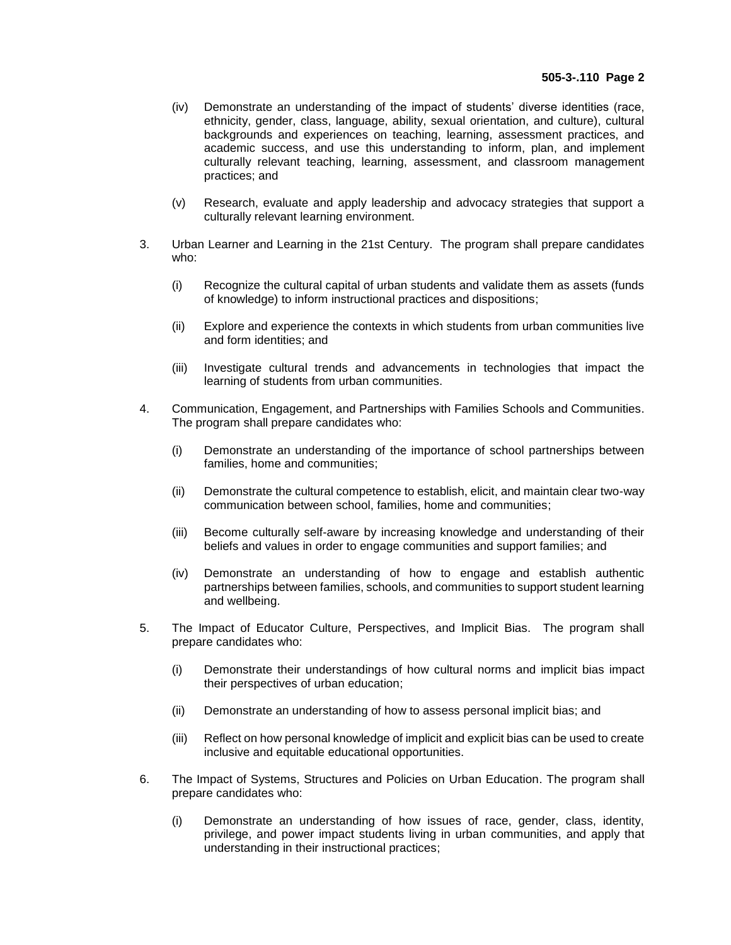- (iv) Demonstrate an understanding of the impact of students' diverse identities (race, ethnicity, gender, class, language, ability, sexual orientation, and culture), cultural backgrounds and experiences on teaching, learning, assessment practices, and academic success, and use this understanding to inform, plan, and implement culturally relevant teaching, learning, assessment, and classroom management practices; and
- (v) Research, evaluate and apply leadership and advocacy strategies that support a culturally relevant learning environment.
- 3. Urban Learner and Learning in the 21st Century. The program shall prepare candidates who:
	- (i) Recognize the cultural capital of urban students and validate them as assets (funds of knowledge) to inform instructional practices and dispositions;
	- (ii) Explore and experience the contexts in which students from urban communities live and form identities; and
	- (iii) Investigate cultural trends and advancements in technologies that impact the learning of students from urban communities.
- 4. Communication, Engagement, and Partnerships with Families Schools and Communities. The program shall prepare candidates who:
	- (i) Demonstrate an understanding of the importance of school partnerships between families, home and communities;
	- (ii) Demonstrate the cultural competence to establish, elicit, and maintain clear two-way communication between school, families, home and communities;
	- (iii) Become culturally self-aware by increasing knowledge and understanding of their beliefs and values in order to engage communities and support families; and
	- (iv) Demonstrate an understanding of how to engage and establish authentic partnerships between families, schools, and communities to support student learning and wellbeing.
- 5. The Impact of Educator Culture, Perspectives, and Implicit Bias. The program shall prepare candidates who:
	- (i) Demonstrate their understandings of how cultural norms and implicit bias impact their perspectives of urban education;
	- (ii) Demonstrate an understanding of how to assess personal implicit bias; and
	- (iii) Reflect on how personal knowledge of implicit and explicit bias can be used to create inclusive and equitable educational opportunities.
- 6. The Impact of Systems, Structures and Policies on Urban Education. The program shall prepare candidates who:
	- (i) Demonstrate an understanding of how issues of race, gender, class, identity, privilege, and power impact students living in urban communities, and apply that understanding in their instructional practices;